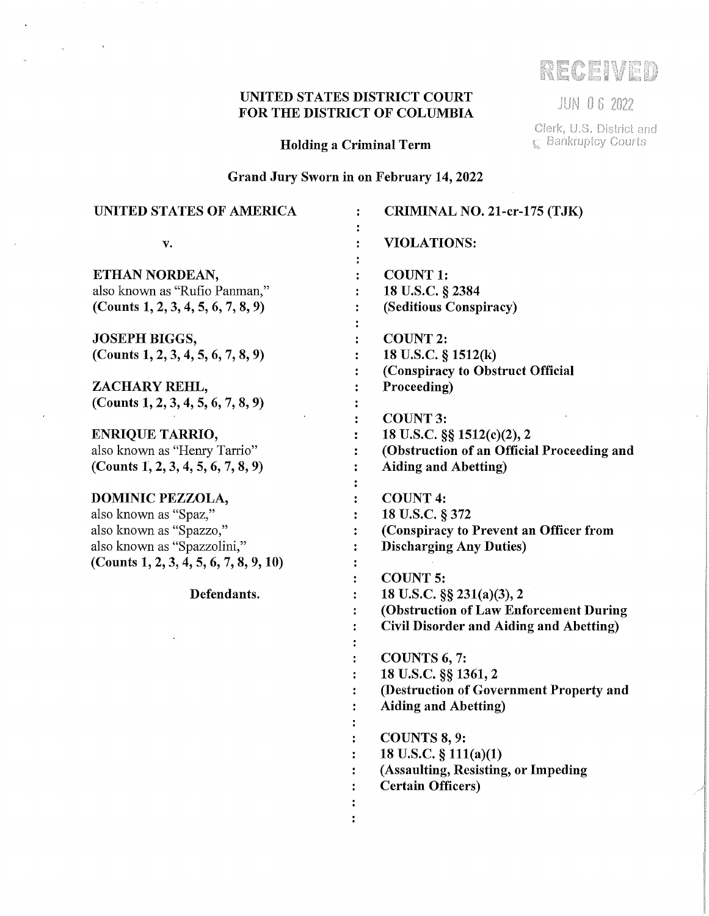# UNITED STATES DISTRICT COURT FOR THE DISTRICT OF COLUMBIA

 $\mathcal{A}^{\mathcal{A}}$ 

 $\bar{z}$ 

Holding a Criminal Term

Grand Jury Sworn in on February 14, 2022

| <b>UNITED STATES OF AMERICA</b>        | CRIMINAL NO. 21-cr-175 (TJK)                   |
|----------------------------------------|------------------------------------------------|
| v.                                     | <b>VIOLATIONS:</b>                             |
| ETHAN NORDEAN,                         | <b>COUNT 1:</b>                                |
| also known as "Rufio Panman,"          | 18 U.S.C. § 2384                               |
| (Counts 1, 2, 3, 4, 5, 6, 7, 8, 9)     | (Seditious Conspiracy)                         |
| <b>JOSEPH BIGGS,</b>                   | <b>COUNT 2:</b>                                |
| (Counts 1, 2, 3, 4, 5, 6, 7, 8, 9)     | 18 U.S.C. § 1512(k)                            |
|                                        | (Conspiracy to Obstruct Official               |
| ZACHARY REHL,                          | Proceeding)                                    |
| (Counts 1, 2, 3, 4, 5, 6, 7, 8, 9)     |                                                |
|                                        | <b>COUNT 3:</b>                                |
| <b>ENRIQUE TARRIO,</b>                 | 18 U.S.C. §§ 1512(c)(2), 2                     |
| also known as "Henry Tarrio"           | (Obstruction of an Official Proceeding and     |
| (Counts 1, 2, 3, 4, 5, 6, 7, 8, 9)     | <b>Aiding and Abetting)</b>                    |
| <b>DOMINIC PEZZOLA,</b>                | <b>COUNT 4:</b>                                |
| also known as "Spaz,"                  | 18 U.S.C. § 372                                |
| also known as "Spazzo,"                | (Conspiracy to Prevent an Officer from         |
| also known as "Spazzolini,"            | <b>Discharging Any Duties)</b>                 |
| (Counts 1, 2, 3, 4, 5, 6, 7, 8, 9, 10) |                                                |
|                                        | <b>COUNT 5:</b>                                |
| Defendants.                            | 18 U.S.C. §§ 231(a)(3), 2                      |
|                                        | (Obstruction of Law Enforcement During         |
|                                        | <b>Civil Disorder and Aiding and Abetting)</b> |
|                                        | COUNTS 6, 7:                                   |
|                                        | 18 U.S.C. §§ 1361, 2                           |
|                                        | (Destruction of Government Property and        |
|                                        | <b>Aiding and Abetting)</b>                    |
|                                        |                                                |
|                                        | COUNTS 8, 9:                                   |
|                                        | 18 U.S.C. $\S 111(a)(1)$                       |
|                                        | (Assaulting, Resisting, or Impeding            |
|                                        | <b>Certain Officers</b> )                      |
|                                        |                                                |
|                                        |                                                |

RECEIVED

**JUN 06 2022** 

Clerk, U.S. District and<br>  $\mathbb{C}$  Bankruptcy Courts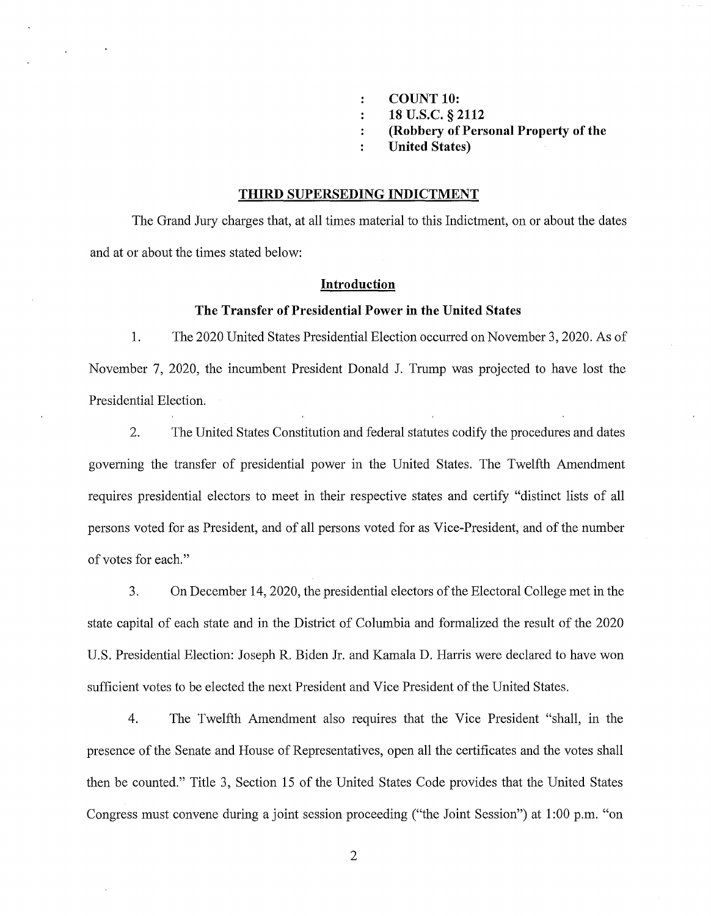- **COUNT 10:**   $\ddot{\cdot}$
- **18 u.s.c. § 2112**   $\ddot{\cdot}$
- **(Robbery of Personal Property of the**
- **United States)**  ÷

#### **THIRD SUPERSEDING INDICTMENT**

The Grand Jury charges that, at all times material to this Indictment, on or about the dates and at or about the times stated below:

#### **Introduction**

#### **The Transfer of Presidential Power in the United States**

**1.** The 2020 United States Presidential Election occurred on November 3, 2020. As of November 7, 2020, the incumbent President Donald J. Trump was projected to have lost the Presidential Election.

2. The United States Constitution and federal statutes codify the procedures and dates governing the transfer of presidential power in the United States. The Twelfth Amendment requires presidential electors to meet in their respective states and certify "distinct lists of all persons voted for as President, and of all persons voted for as Vice-President, and of the number of votes for each."

3. On December 14, 2020, the presidential electors of the Electoral College met in the state capital of each state and in the District of Columbia and formalized the result of the 2020 U.S. Presidential Election: Joseph R. Biden Jr. and Kamala D. Harris were declared to have won sufficient votes to be elected the next President and Vice President of the United States.

4. The Twelfth Amendment also requires that the Vice President "shall, in the presence of the Senate and House of Representatives, open all the certificates and the votes shall then be counted." Title 3, Section 15 of the United States Code provides that the United States Congress must convene during a joint session proceeding ("the Joint Session") at 1 :00 p.m. "on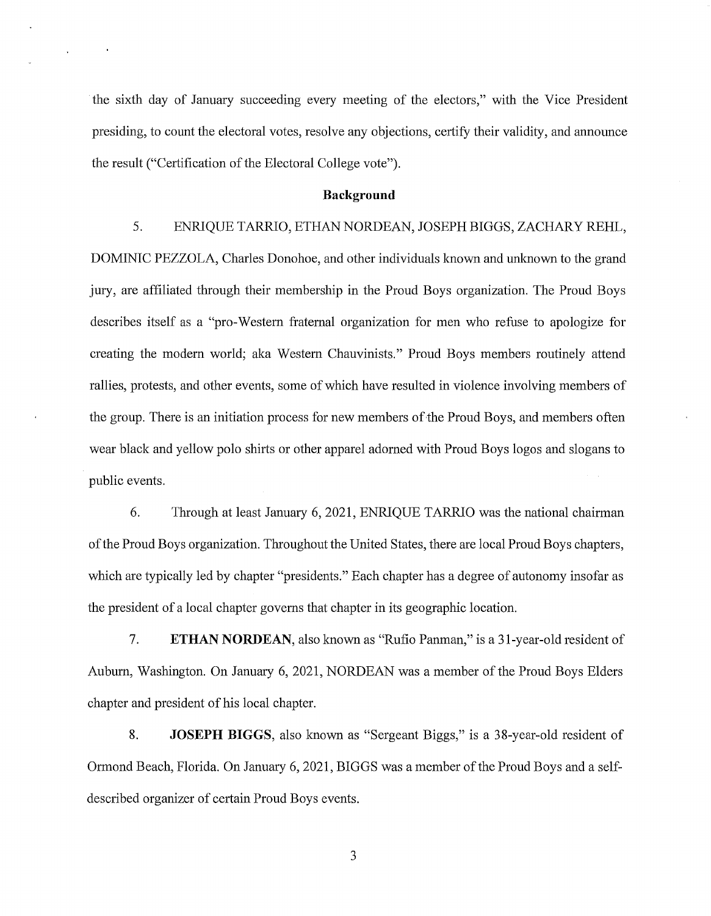the sixth day of January succeeding every meeting of the electors," with the Vice President presiding, to count the electoral votes, resolve any objections, certify their validity, and announce the result ("Certification of the Electoral College vote").

#### **Background**

#### 5. ENRIQUE TARRIO, ETHAN NORDEAN, JOSEPH BIGGS, ZACHARY REHL,

DOMINIC PEZZOLA, Charles Donohoe, and other individuals known and unknown to the grand jury, are affiliated through their membership in the Proud Boys organization. The Proud Boys describes itself as a "pro-Western fraternal organization for men who refuse to apologize for creating the modern world; aka Western Chauvinists." Proud Boys members routinely attend rallies, protests, and other events, some of which have resulted in violence involving members of the group. There is an initiation process for new members of the Proud Boys, and members often wear black and yellow polo shirts or other apparel adorned with Proud Boys logos and slogans to public events.

6. Through at least January 6, 2021, ENRIQUE TARRIO was the national chairman of the Proud Boys organization. Throughout the United States, there are local Proud Boys chapters, which are typically led by chapter "presidents." Each chapter has a degree of autonomy insofar as the president of a local chapter governs that chapter in its geographic location.

7. **ETHAN NORDEAN,** also known as "Rufio Panman," is a 31-year-old resident of Auburn, Washington. On January 6, 2021, NORDEAN was a member of the Proud Boys Elders chapter and president of his local chapter.

8. **JOSEPH BIGGS,** also known as "Sergeant Biggs," is a 38-year-old resident of Ormond Beach, Florida. On January 6, 2021, BIGGS was a member of the Proud Boys and a selfdescribed organizer of certain Proud Boys events.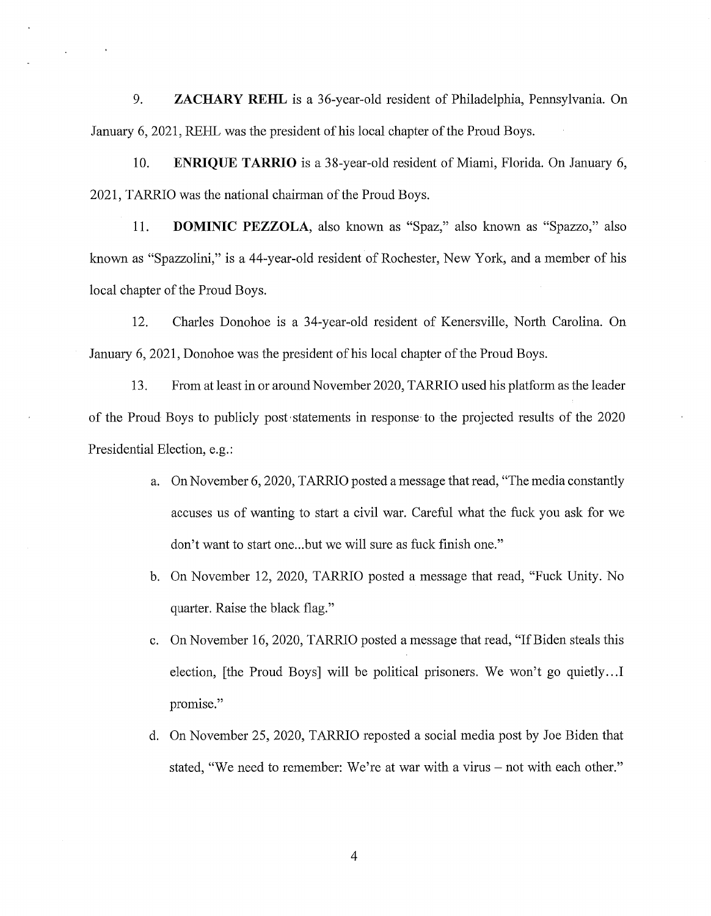9. **ZACHARY REHL** is a 36-year-old resident of Philadelphia, Pennsylvania. On January 6, 2021, REHL was the president of his local chapter of the Proud Boys.

10. **ENRIQUE TARRIO** is a 38-year-old resident of Miami, Florida. On January 6, 2021, TARRIO was the national chairman of the Proud Boys.

11. **DOMINIC PEZZOLA,** also known as "Spaz," also known as "Spazzo," also known as "Spazzolini," is a 44-year-old resident of Rochester, New York, and a member of his local chapter of the Proud Boys.

12. Charles Donohoe is a 34-year-old resident of Kenersville, North Carolina. On January 6, 2021, Donohoe was the president of his local chapter of the Proud Boys.

13. From at least in or around November 2020, TARRIO used his platform as the leader of the Proud Boys to publicly post, statements in response· to the projected results of the 2020 Presidential Election, e.g.:

- a. On November 6, 2020, TARRIO posted a message that read, "The media constantly accuses us of wanting to start a civil war. Careful what the fuck you ask for we don't want to start one...but we will sure as fuck finish one."
- b. On November 12, 2020, TARRIO posted a message that read, "Fuck Unity. No quarter. Raise the black flag."
- c. On November 16, 2020, TARRIO posted a message that read, "If Biden steals this election, [the Proud Boys] will be political prisoners. We won't go quietly... I promise."
- d. On November 25, 2020, TARRIO reposted a social media post by Joe Biden that stated, "We need to remember: We're at war with a virus - not with each other."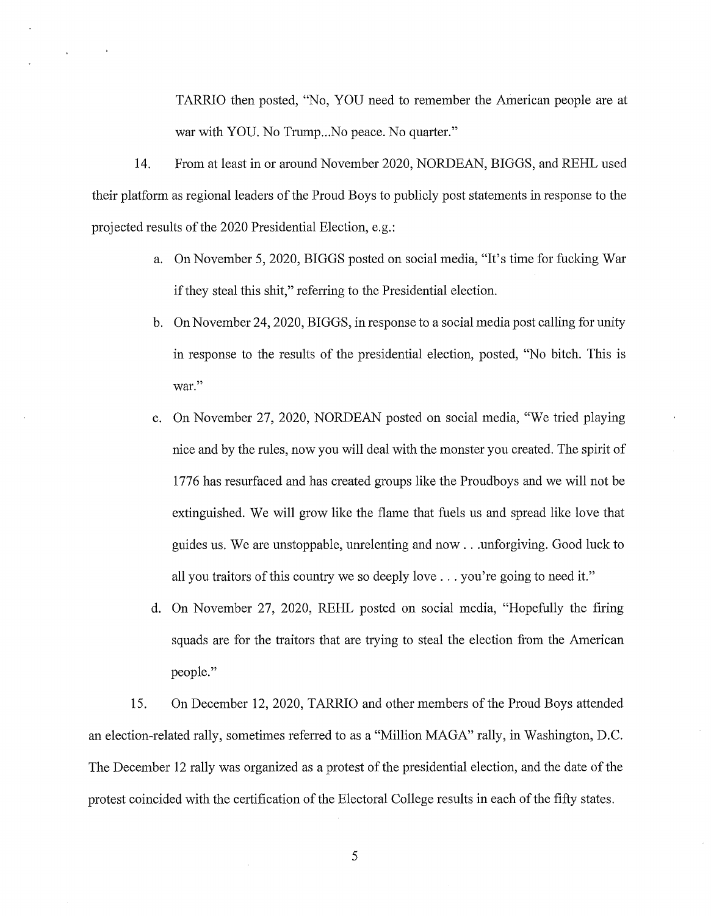TARRIO then posted, "No, YOU need to remember the American people are at war with YOU. No Trump...No peace. No quarter."

14. From at least in or around November 2020, NORDEAN, BIGGS, and REHL used their platform as regional leaders of the Proud Boys to publicly post statements in response to the projected results of the 2020 Presidential Election, e.g.:

- a. On November 5, 2020, BIGGS posted on social media, "It's time for fucking War if they steal this shit," refening to the Presidential election.
- b. On November 24, 2020, BIGGS, in response to a social media post calling for unity in response to the results of the presidential election, posted, "No bitch. This is war."
- c. On November 27, 2020, NORDEAN posted on social media, "We tried playing nice and by the rules, now you will deal with the monster you created. The spirit of 1776 has resurfaced and has created groups like the Proudboys and we will not be extinguished. We will grow like the flame that fuels us and spread like love that guides us. We are unstoppable, unrelenting and now ... unforgiving. Good luck to all you traitors of this country we so deeply love  $\dots$  you're going to need it."
- d. On November 27, 2020, REHL posted on social media, "Hopefully the firing squads are for the traitors that are trying to steal the election from the American people."

15. On December 12, 2020, TARRIO and other members of the Proud Boys attended an election-related rally, sometimes referred to as a "Million MAGA" rally, in Washington, D.C. The December 12 rally was organized as a protest of the presidential election, and the date of the protest coincided with the certification of the Electoral College results in each of the fifty states.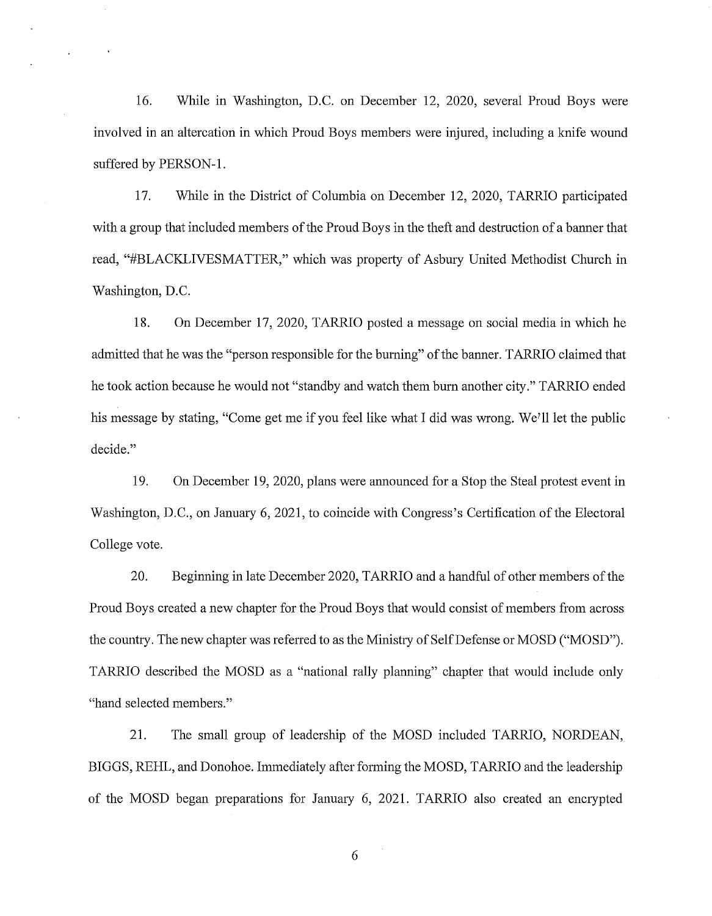16. While in Washington, D.C. on December 12, 2020, several Proud Boys were involved in an altercation in which Proud Boys members were injured, including a knife wound suffered by PERSON-I.

17. While in the District of Columbia on December 12, 2020, TARRIO participated with a group that included members of the Proud Boys in the theft and destruction of a banner that read, "#BLACKLIVESMATTER," which was property of Asbury United Methodist Church in Washington, D.C.

18. On December 17, 2020, TARRIO posted a message on social media in which he admitted that he was the "person responsible for the buming" of the banner. TARRIO claimed that he took action because he would not "standby and watch them bum another city." TARRIO ended his message by stating, "Come get me if you feel like what I did was wrong. We'll let the public decide."

19. On December 19, 2020, plans were announced for a Stop the Steal protest event in Washington, D.C., on Januaty 6, 2021, to coincide with Congress's Certification of the Electoral College vote.

20. Beginning in late December 2020, TARRIO and a handful of other members of the Proud Boys created a new chapter for the Proud Boys that would consist of members from across the country. The new chapter was referred to as the Ministry of Self Defense or MOSD ("MOSD"). TARRIO described the MOSD as a "national rally planning" chapter that would include only "hand selected members."

21. The small group of leadership of the MOSD included TARRIO, NORDEAN, BIGGS, REHL, and Donohoe. Immediately after fotming the MOSD, TARRIO and the leadership of the MOSD began preparations for Januaty 6, 2021. TARRIO also created an encrypted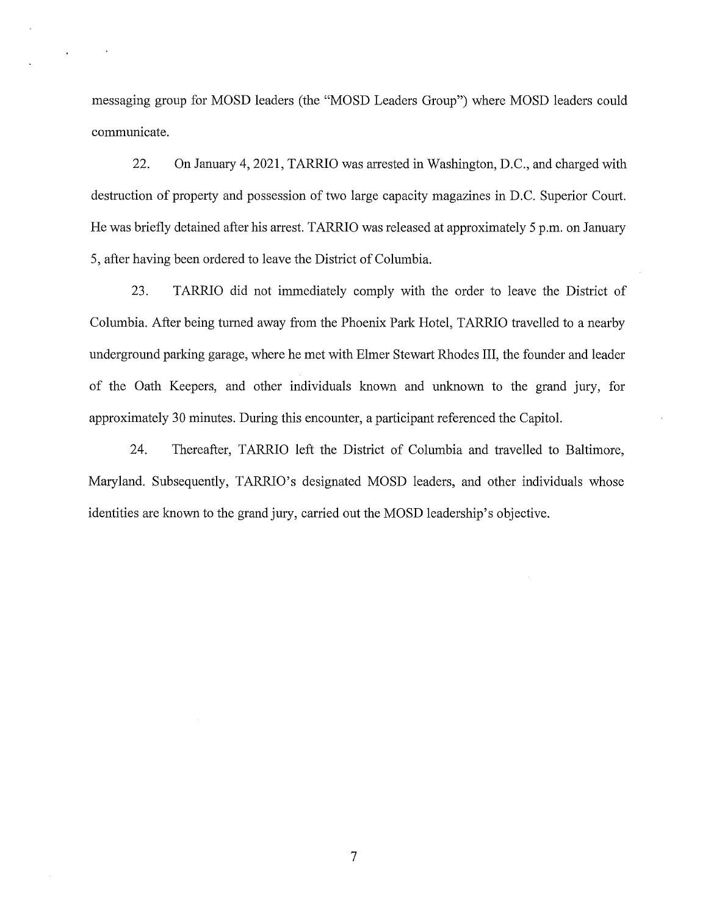messaging group for MOSD leaders (the "MOSD Leaders Group") where MOSD leaders could communicate.

22. On January 4, 2021, TARRIO was arrested in Washington, D.C., and charged with destruction of property and possession of two large capacity magazines in D.C. Superior Court. He was briefly detained after his arrest. TARRIO was released at approximately 5 p.m. on January 5, after having been ordered to leave the District of Columbia.

23. TARRIO did not immediately comply with the order to leave the District of Columbia. After being turned away from the Phoenix Park Hotel, TARRIO travelled to a nearby underground parking garage, where he met with Elmer Stewart Rhodes III, the founder and leader of the Oath Keepers, and other individuals known and unknown to the grand jury, for approximately 30 minutes. During this encounter, a participant referenced the Capitol.

24. Thereafter, TARRIO left the District of Columbia and travelled to Baltimore, Maryland. Subsequently, TARRIO's designated MOSD leaders, and other individuals whose identities are known to the grand jury, carried out the MOSD leadership's objective.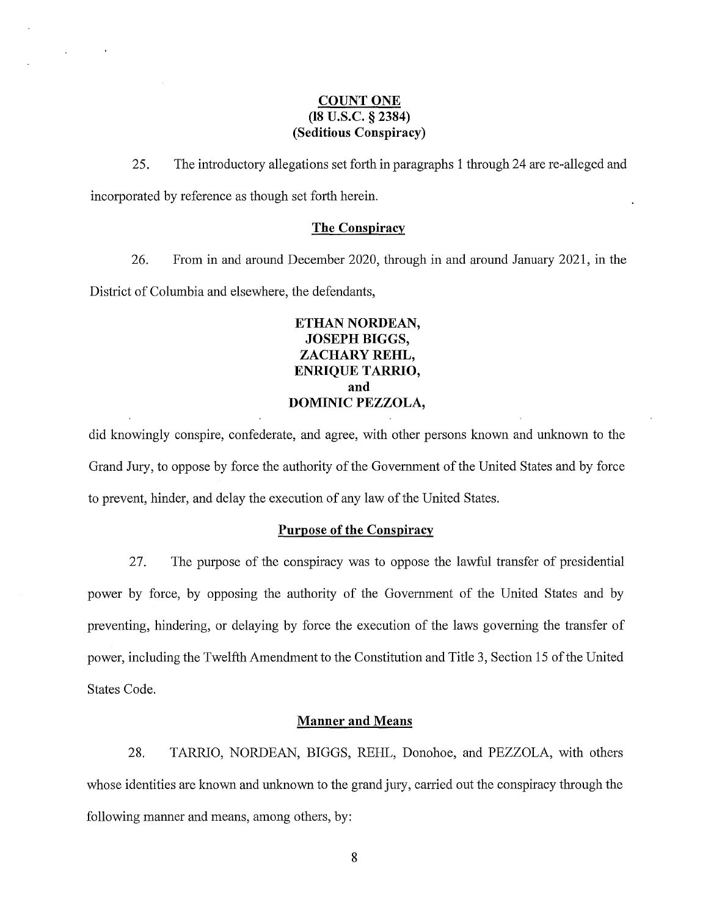#### **COUNT ONE (18 u.s.c. § 2384) (Seditious Conspiracy)**

 $\mathcal{L}^{\pm}$ 

25. The introductory allegations set forth in paragraphs 1 through 24 are re-alleged and incorporated by reference as though set forth herein.

#### **The Conspiracy**

26. From in and around December 2020, through in and around January 2021, in the District of Columbia and elsewhere, the defendants,

# **ETHAN NORDEAN, JOSEPH BIGGS, ZACHARY REHL, ENRIQUE TARRIO, and DOMINIC PEZZOLA,**

did knowingly conspire, confederate, and agree, with other persons known and unknown to the Grand Jury, to oppose by force the authority of the Government of the United States and by force to prevent, hinder, and delay the execution of any law of the United States.

#### **Purpose of the Conspiracy**

27. The purpose of the conspiracy was to oppose the lawful transfer of presidential power by force, by opposing the authority of the Government of the United States and by preventing, hindering, or delaying by force the execution of the laws governing the transfer of power, including the Twelfth Amendment to the Constitution and Title 3, Section 15 of the United States Code.

#### **Manner and Means**

28. TARRJO, NORDEAN, BIGGS, REHL, Donohoe, and PEZZOLA, with others whose identities are known and unknown to the grand jury, carried out the conspiracy through the following manner and means, among others, by: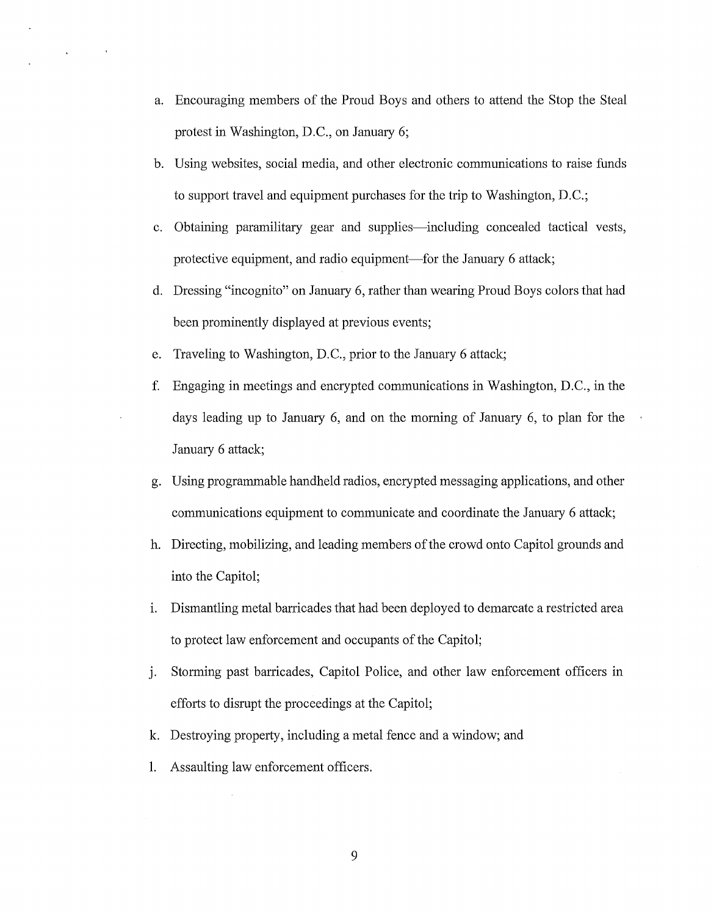- a. Encouraging members of the Proud Boys and others to attend the Stop the Steal protest in Washington, D.C., on January 6;
- b. Using websites, social media, and other electronic communications to raise funds to support travel and equipment purchases for the trip to Washington, D.C.;
- c. Obtaining paramilitary gear and supplies-including concealed tactical vests, protective equipment, and radio equipment—for the January 6 attack;
- d. Dressing "incognito" on January 6, rather than wearing Proud Boys colors that had been prominently displayed at previous events;
- e. Traveling to Washington, D.C., prior to the January 6 attack;

 $\sim$   $-$ 

 $\mathbf{A}^{\mathrm{eff}}$ 

- f. Engaging in meetings and encrypted communications in Washington, D.C., in the days leading up to January 6, and on the morning of January 6, to plan for the January 6 attack;
- g. Using programmable handheld radios, encrypted messaging applications, and other communications equipment to communicate and coordinate the January 6 attack;
- h. Directing, mobilizing, and leading members of the crowd onto Capitol grounds and into the Capitol;
- i. Dismantling metal barricades that had been deployed to demarcate a restricted area to protect law enforcement and occupants of the Capitol;
- j. Storming past barricades, Capitol Police, and other law enforcement officers in efforts to disrupt the proceedings at the Capitol;
- k. Destroying property, including a metal fence and a window; and
- 1. Assaulting law enforcement officers.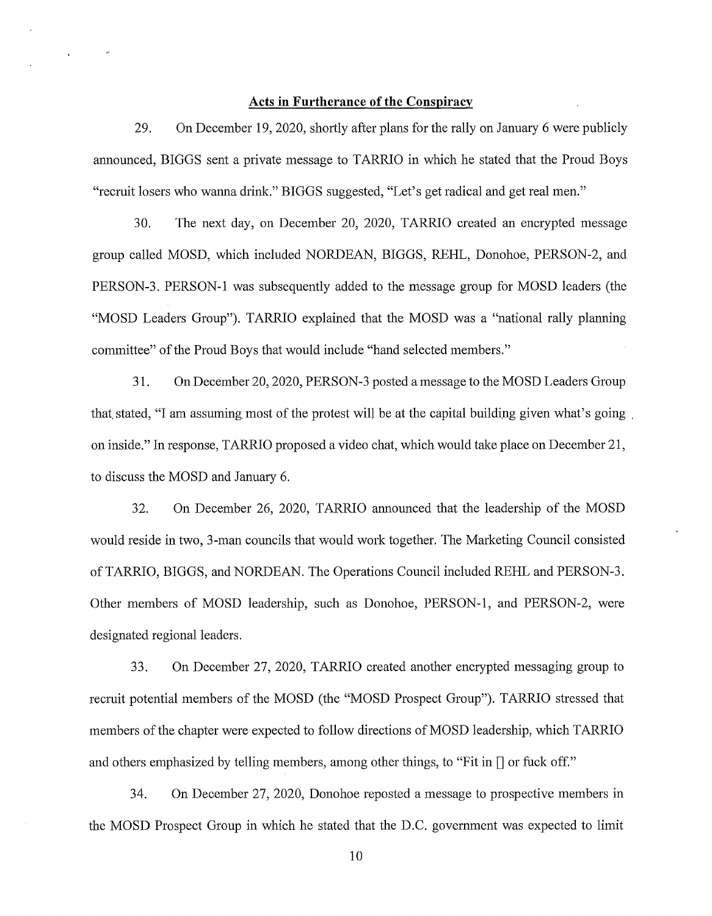#### **Acts in Furtherance of the Conspiracy**

29. On December 19, 2020, shortly after plans for the rally on January 6 were publicly announced, BIGGS sent a private message to TARRIO in which he stated that the Proud Boys "recruit losers who wanna drink." BIGGS suggested, "Let's get radical and get real men."

30. The next day, on December 20, 2020, TARRIO created an encrypted message group called MOSD, which included NORDEAN, BIGGS, REHL, Donohoe, PERSON-2, and PERSON-3. PERSON-I was subsequently added to the message group for MOSD leaders (the "MOSD Leaders Group"). TARRIO explained that the MOSD was a "national rally planning committee" of the Proud Boys that would include "hand selected members."

31. On December 20, 2020, PERSON-3 posted a message to the MOSD Leaders Group that stated, "I am assuming most of the protest will be at the capital building given what's going, on inside." In response, TARRIO proposed a video chat, which would take place on December 21, to discuss the MOSD and January 6.

32. On December 26, 2020, TARRIO announced that the leadership of the MOSD would reside in two, 3-man councils that would work together. The Marketing Council consisted ofTARRIO, BIGGS, and NORDEAN. The Operations Council included REHL and PERSON-3. Other members of MOSD leadership, such as Donohoe, PERSON-I, and PERSON-2, were designated regional leaders.

33. On December 27, 2020, TARRIO created another encrypted messaging group to recruit potential members of the MOSD (the "MOSD Prospect Group"). TARRIO stressed that members of the chapter were expected to follow directions of MOSD leadership, which TARRIO and others emphasized by telling members, among other things, to "Fit in  $[]$  or fuck off."

34. On December 27, 2020, Donohoe reposted a message to prospective members in the MOSD Prospect Group in which he stated that the D.C. government was expected to limit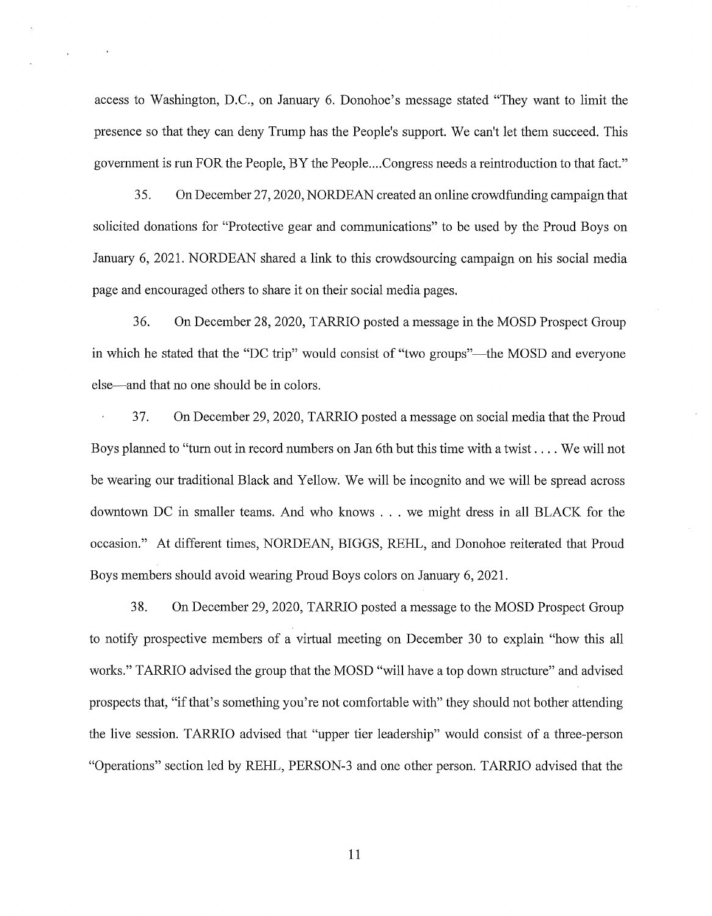access to Washington, D.C., on January 6. Donohoe's message stated "They want to limit the presence so that they can deny Trump has the People's support. We can't let them succeed. This government is run FOR the People, BY the People....Congress needs a reintroduction to that fact."

35. On December 27, 2020, NORDEAN created an online crowdfunding campaign that solicited donations for "Protective gear and communications" to be used by the Proud Boys on January 6, 2021. NORDEAN shared a link to this crowdsourcing campaign on his social media page and encouraged others to share it on their social media pages.

36. On December 28, 2020, TARRIO posted a message in the MOSD Prospect Group in which he stated that the "DC trip" would consist of "two groups"—the MOSD and everyone else-and that no one should be in colors.

37. On December 29, 2020, TARRIO posted a message on social media that the Proud Boys planned to "turn out in record numbers on Jan 6th but this time with a twist .... We will not be wearing our traditional Black and Yellow. We will be incognito and we will be spread across downtown DC in smaller teams. And who knows . . . we might dress in all BLACK for the occasion." At different times, NORDEAN, BIGGS, REHL, and Donohoe reiterated that Proud Boys members should avoid wearing Proud Boys colors on January 6, 2021.

38. On December 29, 2020, TARRIO posted a message to the MOSD Prospect Group to notify prospective members of a virtual meeting on December 30 to explain "how this all works." TARRIO advised the group that the MOSD "will have a top down structure" and advised prospects that, "if that's something you're not comfortable with" they should not bother attending the live session. TARRIO advised that "upper tier leadership" would consist of a three-person "Operations" section led by REHL, PERSON-3 and one other person. TARRIO advised that the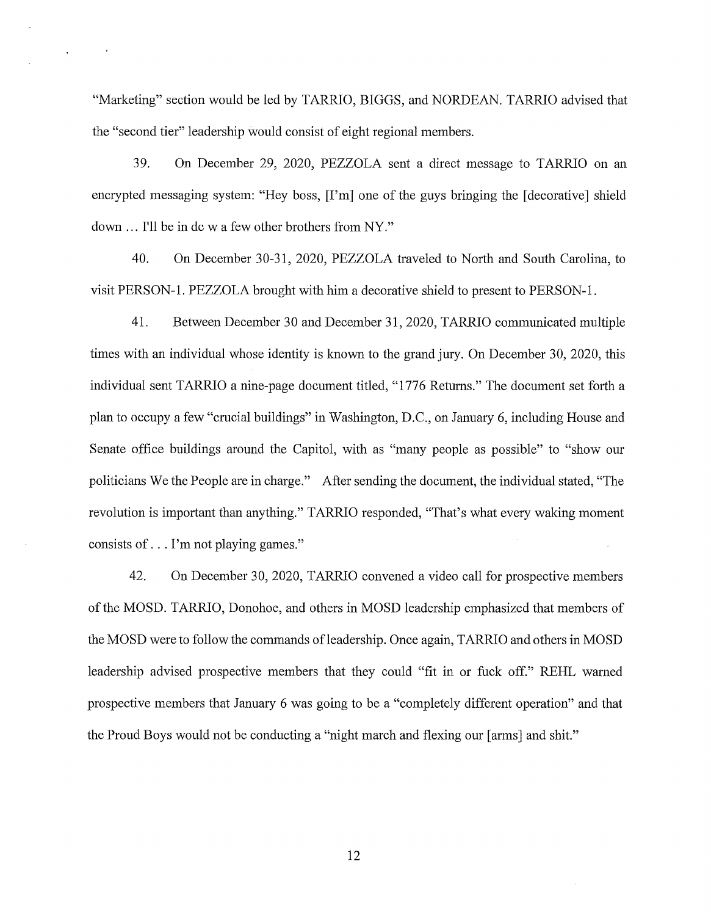"Marketing" section would be led by TARRIO, BIGGS, and NORDEAN. TARRIO advised that the "second tier" leadership would consist of eight regional members.

39. On December 29, 2020, PEZZOLA sent a direct message to TARRIO on an encrypted messaging system: "Hey boss, [I'm] one of the guys bringing the [decorative] shield down ... I'll be in dew a few other brothers from NY."

40. On December 30-31, 2020, PEZZOLA traveled to North and South Carolina, to visit PERSON-1. PEZZOLA brought with him a decorative shield to present to PERSON-1.

41. Between December 30 and December 31, 2020, TARRIO communicated multiple times with an individual whose identity is known to the grand jury. On December 30, 2020, this individual sent TARRIO a nine-page document titled, "1776 Returns." The document set forth a plan to occupy a few "cmcial buildings" in Washington, D.C., on January 6, including House and Senate office buildings around the Capitol, with as "many people as possible" to "show our politicians We the People are in charge." After sending the document, the individual stated, "The revolution is important than anything." TARRIO responded, "That's what every waking moment consists of ... I'm not playing games."

42. On December 30, 2020, TARRIO convened a video call for prospective members of the MOSD. TARRIO, Donohoe, and others in MOSD leadership emphasized that members of the MOSD were to follow the commands of leadership. Once again, TARRIO and others in MOSD leadership advised prospective members that they could "fit in or fuck off." REHL warned prospective members that January 6 was going to be a "completely different operation" and that the Proud Boys would not be conducting a "night march and flexing our [arms] and shit."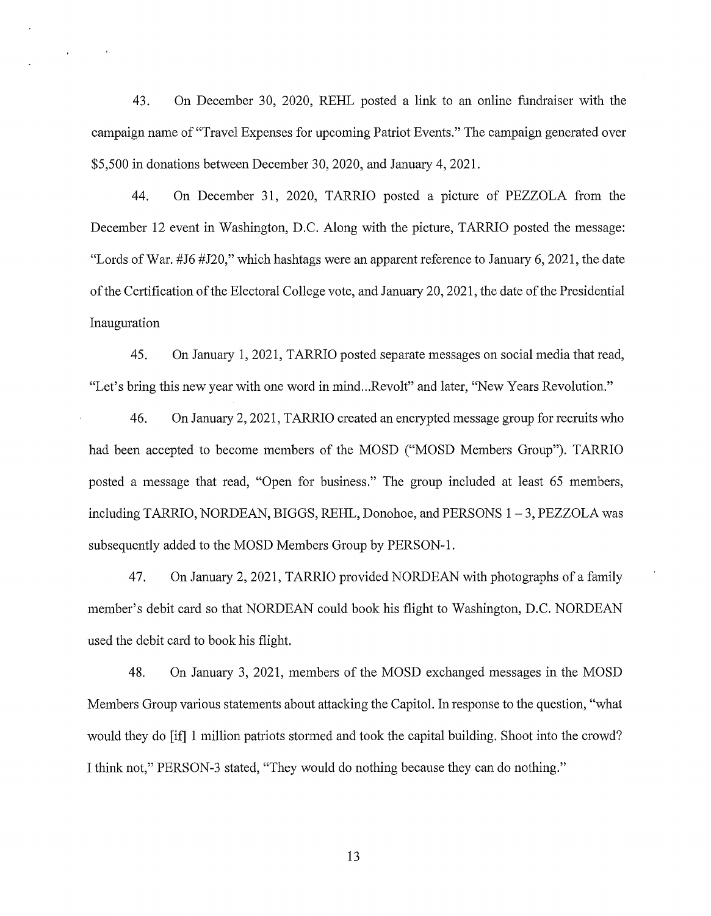43. On December 30, 2020, REHL posted a link to an online fundraiser with the campaign name of "Travel Expenses for upcoming Patriot Events." The campaign generated over \$5,500 in donations between December 30, 2020, and January 4, 2021.

 $\lambda$ 

44. On December 31, 2020, TARRIO posted a picture of PEZZOLA from the December 12 event in Washington, D.C. Along with the picture, TARRIO posted the message: "Lords of War. #J6 #J20," which hashtags were an apparent reference to January 6, 2021, the date of the Certification of the Electoral College vote, and Januaty 20, 2021, the date of the Presidential Inauguration

45. On January 1, 2021, TARRIO posted separate messages on social media that read, "Let's bring this new year with one word in mind...Revolt" and later, "New Years Revolution."

46. On January 2, 2021, TARRIO created an encrypted message group for recruits who had been accepted to become members of the MOSD ("MOSD Members Group"). TARRIO posted a message that read, "Open for business." The group included at least 65 members, including TARRIO, NORDEAN, BIGGS, REHL, Donohoe, and PERSONS 1-3, PEZZOLA was subsequently added to the MOSD Members Group by PERSON-I.

47. On January 2, 2021, TARRIO provided NORDEAN with photographs of a family member's debit card so that NORDEAN could book his flight to Washington, D.C. NORDEAN used the debit card to book his flight.

48. On January 3, 2021, members of the MOSD exchanged messages in the MOSD Members Group various statements about attacking the Capitol. In response to the question, "what would they do [if] 1 million patriots stormed and took the capital building. Shoot into the crowd? I think not," PERSON-3 stated, "They would do nothing because they can do nothing."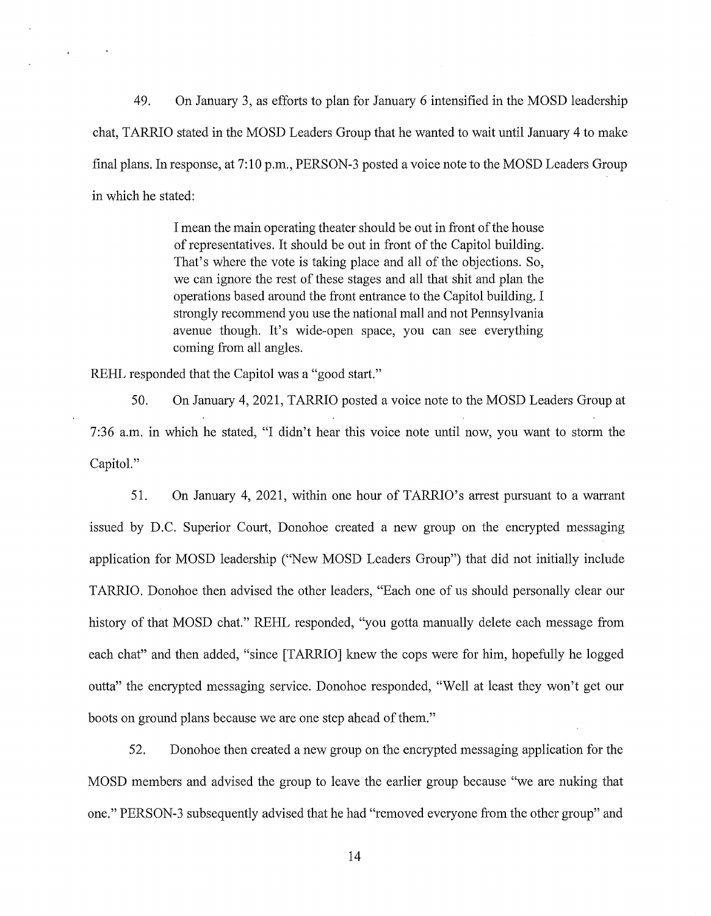49. On January 3, as efforts to plan for January 6 intensified in the MOSD leadership chat, TARRIO stated in the MOSD Leaders Group that he wanted to wait until January 4 to make final plans. In response, at 7:10 p.m., PERSON-3 posted a voice note to the MOSD Leaders Group in which he stated:

> I mean the main operating theater should be out in front of the house of representatives. It should be out in front of the Capitol building. That's where the vote is taking place and all of the objections. So, we can ignore the rest of these stages and all that shit and plan the operations based around the front entrance to the Capitol building. I strongly recommend you use the national mall and not Pennsylvania avenue though. It's wide-open space, you can see everything coming from all angles.

REHL responded that the Capitol was a "good start."

50. On January 4, 2021, TARRIO posted a voice note to the MOSD Leaders Group at 7:36 a.m. in which he stated, "I didn't hear this voice note until now, you want to storm the Capitol."

51. On January 4, 2021, within one hour of TARRIO's arrest pursuant to a warrant issued by D.C. Superior Court, Donohoe created a new group on the encrypted messaging application for MOSD leadership ("New MOSD Leaders Group") that did not initially include TARRIO. Donohoe then advised the other leaders, "Each one of us should personally clear our history of that MOSD chat." REHL responded, "you gotta manually delete each message from each chat" and then added, "since [TARRIO] knew the cops were for him, hopefully he logged outta" the encrypted messaging service. Donohoe responded, "Well at least they won't get our boots on ground plans because we are one step ahead of them."

52. Donohoe then created a new group on the encrypted messaging application for the MOSD members and advised the group to leave the earlier group because "we are nuking that one." PERSON-3 subsequently advised that he had "removed everyone from the other group" and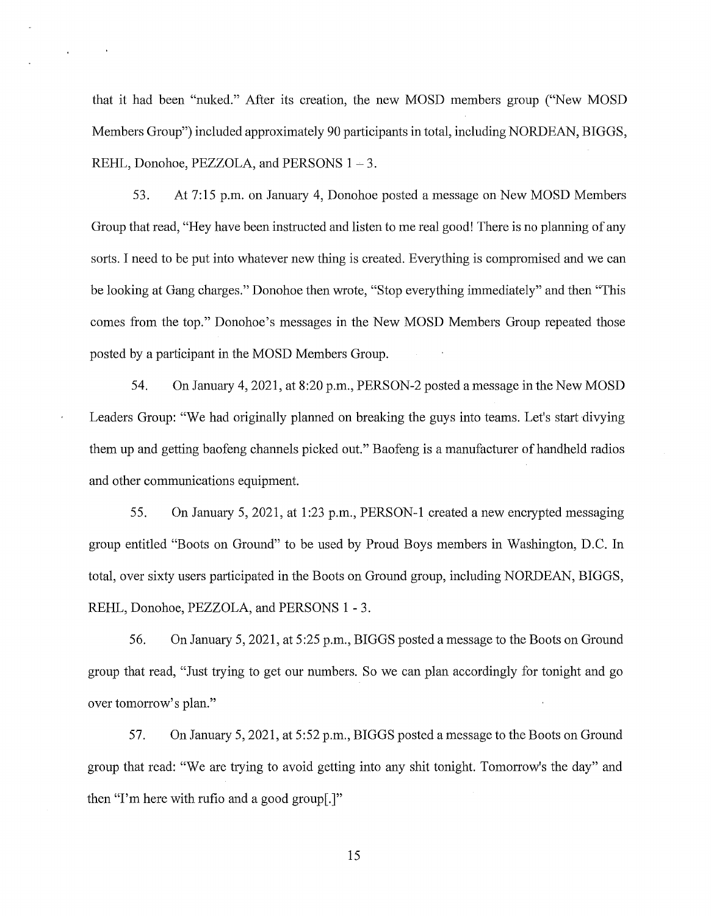that it had been "nuked." After its creation, the new MOSD members group ("New MOSD Members Group") included approximately 90 participants in total, including NORDEAN, BIGGS, REHL, Donohoe, PEZZOLA, and PERSONS  $1 - 3$ .

 $\lambda$ 

53. At 7:15 p.m. on January 4, Donohoe posted a message on New MOSD Members Group that read, "Hey have been instructed and listen to me real good! There is no planning of any sorts. I need to be put into whatever new thing is created. Everything is compromised and we can be looking at Gang charges." Donohoe then wrote, "Stop everything immediately" and then "This comes from the top." Donohoe's messages in the New MOSD Members Group repeated those posted by a participant in the MOSD Members Group.

54. On Januaiy 4, 2021, at 8:20 p.m., PERSON-2 posted a message in the New MOSD Leaders Group: "We had originally planned on breaking the guys into teams. Let's start divying them up and getting baofeng channels picked out." Baofeng is a manufacturer of handheld radios and other communications equipment.

55. On January 5, 2021, at 1 :23 p.m., PERSON-I created a new encrypted messaging group entitled "Boots on Ground" to be used by Proud Boys members in Washington, D.C. In total, over sixty users participated in the Boots on Ground group, including NORDEAN, BIGGS, REHL, Donohoe, PEZZOLA, and PERSONS 1 - 3.

56. On January 5, 2021, at 5:25 p.m., BIGGS posted a message to the Boots on Ground group that read, "Just trying to get our numbers. So we can plan accordingly for tonight and go over tomorrow's plan."

57. On January 5, 2021, at 5:52 p.m., BIGGS posted a message to the Boots on Ground group that read: "We are trying to avoid getting into any shit tonight. Tomorrow's the day" and then "I'm here with rufio and a good group[.]"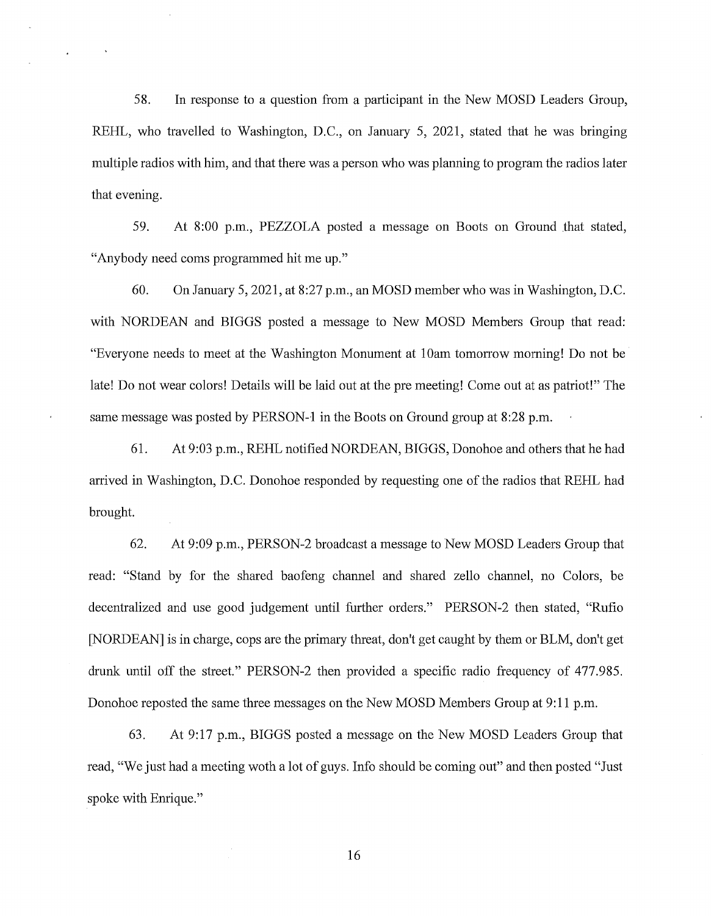58. In response to a question from a participant in the New MOSD Leaders Group, REHL, who travelled to Washington, D.C., on January 5, 2021, stated that he was bringing multiple radios with him, and that there was a person who was planning to program the radios later that evening.

59. At 8:00 p.m., PEZZOLA posted a message on Boots on Ground that stated, "Anybody need coms programmed hit me up."

60. On Januaiy 5, 2021, at 8:27 p.m., an MOSD member who was in Washington, D.C. with NORDEAN and BIGGS posted a message to New MOSD Members Group that read: "Everyone needs to meet at the Washington Monument at 10am tomorrow morning! Do not be late! Do not wear colors! Details will be laid out at the pre meeting! Come out at as patriot!" The same message was posted by PERSON-1 in the Boots on Ground group at 8:28 p.m.

61. At 9:03 p.m., REHL notified NORDEAN, BIGGS, Donohoe and others that he had arrived in Washington, D.C. Donohoe responded by requesting one of the radios that REHL had brought.

62. At 9:09 p.m., PERSON-2 broadcast a message to New MOSD Leaders Group that read: "Stand by for the shared baofeng channel and shared zello channel, no Colors, be decentralized and use good judgement until further orders." PERSON-2 then stated, "Rufio [NORDEAN] is in charge, cops are the primary threat, don't get caught by them or BLM, don't get drunk until off the street." PERSON-2 then provided a specific radio frequency of 477.985. Donohoe reposted the same three messages on the New MOSD Members Group at 9:11 p.m.

63. At 9:17 p.m., BIGGS posted a message on the New MOSD Leaders Group that read, "We just had a meeting woth a lot of guys. Info should be coming out" and then posted "Just spoke with Enrique."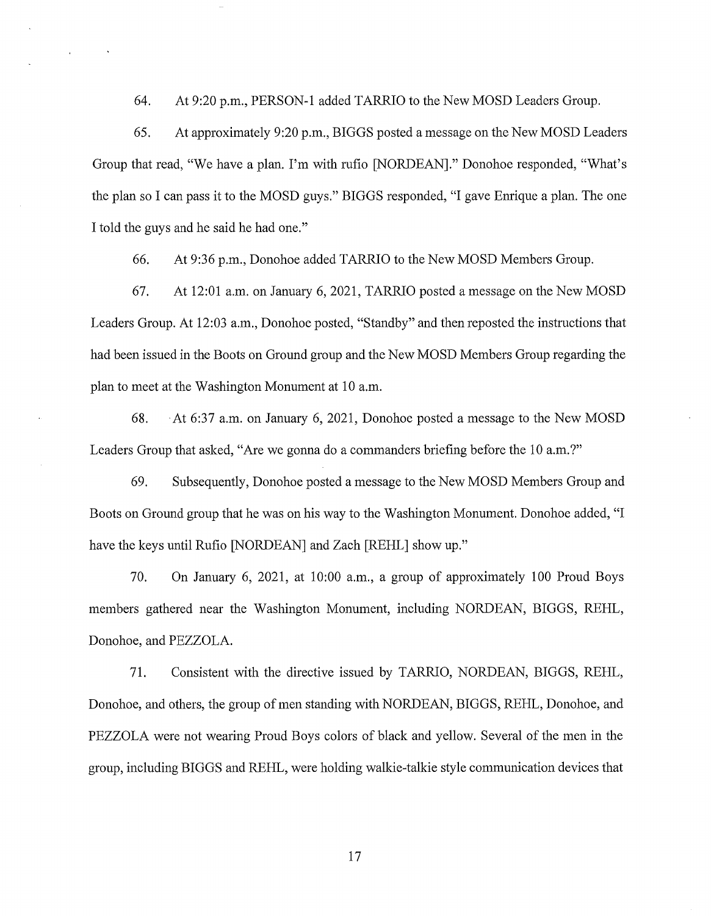64. At 9:20 p.m., PERSON-1 added TARRIO to the NewMOSD Leaders Group.

65. At approximately 9:20 p.m., BIGGS posted a message on the New MOSD Leaders Group that read, "We have a plan. I'm with rufio [NORDEAN]." Donohoe responded, "What's the plan so I can pass it to the MOSD guys." BIGGS responded, "I gave Enrique a plan. The one I told the guys and he said he had one."

66. At 9:36 p.m., Donohoe added TARRIO to the New MOSD Members Group.

67. At 12:01 a.m. on January 6, 2021, TARRIO posted a message on the New MOSD Leaders Group. At 12:03 a.m., Donohoe posted, "Standby" and then reposted the instructions that had been issued in the Boots on Ground group and the New MOSD Members Group regarding the plan to meet at the Washington Monument at 10 a.m.

68. · At 6:37 a.m. on January 6, 2021, Donohoe posted a message to the New MOSD Leaders Group that asked, "Are we gonna do a commanders briefing before the 10 a.m.?"

69. Subsequently, Donohoe posted a message to the New MOSD Members Group and Boots on Ground group that he was on his way to the Washington Monument. Donohoe added, "I have the keys until Rufio [NORDEAN] and Zach [REHL] show up."

70. On January 6, 2021, at 10:00 a.m., a group of approximately 100 Proud Boys members gathered near the Washington Monument, including NORDEAN, BIGGS, REHL, Donohoe, and PEZZOLA.

71. Consistent with the directive issued by TARRIO, NORDEAN, BIGGS, REHL, Donohoe, and others, the group of men standing with NORDEAN, BIGGS, REHL, Donohoe, and PEZZOLA were not wearing Proud Boys colors of black and yellow. Several of the men in the group, including BIGGS and REHL, were holding walkie-talkie style communication devices that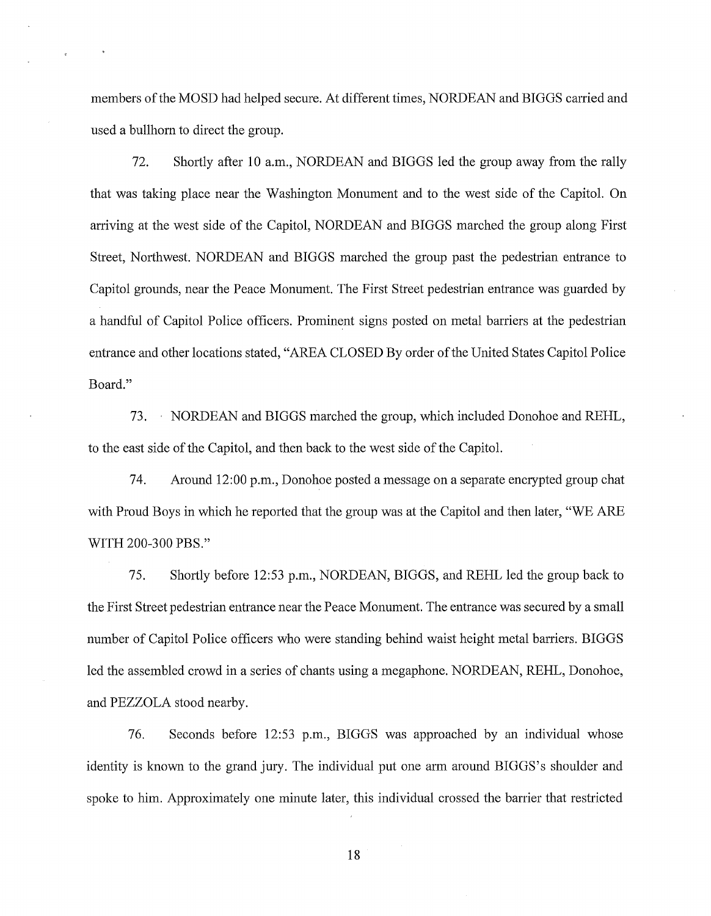members of the MOSD had helped secure. At different times, NORDEAN and BIGGS carried and used a bullhorn to direct the group.

72. Shortly after 10 a.m., NORDEAN and BIGGS led the group away from the rally that was taking place near the Washington Monument and to the west side of the Capitol. On arriving at the west side of the Capitol, NORDEAN and BIGGS marched the group along First Street, Northwest. NORDEAN and BIGGS marched the group past the pedestrian entrance to Capitol grounds, near the Peace Monument. The First Street pedestrian entrance was guarded by a handful of Capitol Police officers. Prominent signs posted on metal barriers at the pedestrian entrance and other locations stated, "AREA CLOSED By order of the United States Capitol Police Board."

73. · NORDEAN and BIGGS marched the group, which included Donohoe and REHL, to the east side of the Capitol, and then back to the west side of the Capitol.

74. Around 12:00 p.m., Donohoe posted a message on a separate encrypted group chat with Proud Boys in which he reported that the group was at the Capitol and then later, "WE ARE WITH 200-300 PBS."

75. Shortly before 12:53 p.m., NORDEAN, BIGGS, and REHL led the group back to the First Street pedestrian entrance near the Peace Monument. The entrance was secured by a small number of Capitol Police officers who were standing behind waist height metal barriers. BIGGS led the assembled crowd in a series of chants using a megaphone. NORDEAN, REHL, Donohoe, and PEZZOLA stood nearby.

76. Seconds before 12:53 p.m., BIGGS was approached by an individual whose identity is known to the grand jury. The individual put one arm around BIGGS's shoulder and spoke to him. Approximately one minute later, this individual crossed the barrier that restricted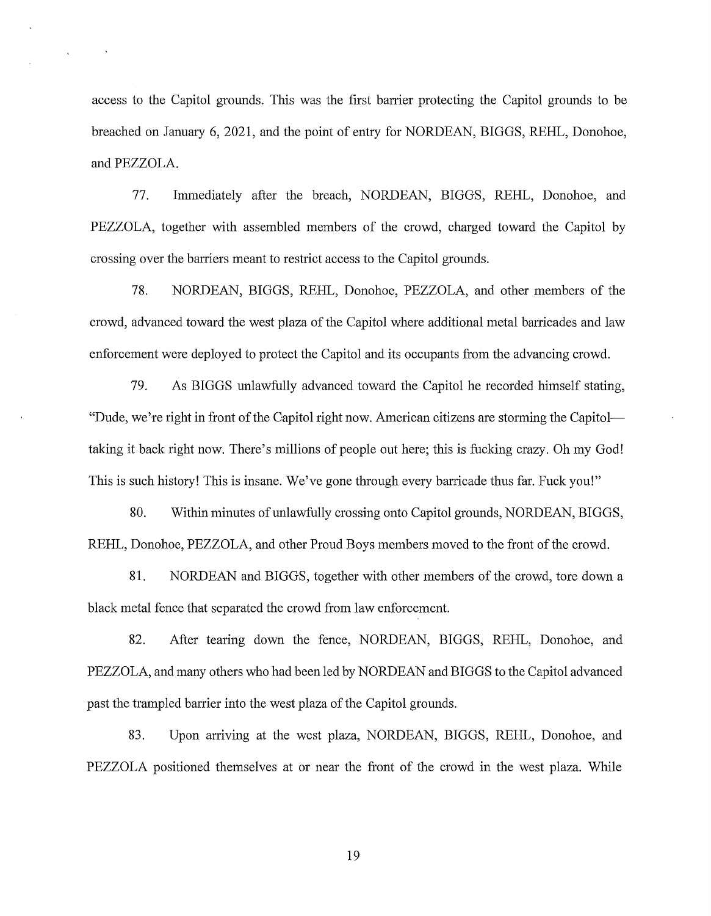access to the Capitol grounds. This was the first barrier protecting the Capitol grounds to be breached on January 6, 2021, and the point of entry for NORDEAN, BIGGS, REHL, Donohoe, and PEZZOLA.

 $\ddot{\phantom{a}}$ 

77. Immediately after the breach, NORDEAN, BIGGS, REHL, Donohoe, and PEZZOLA, together with assembled members of the crowd, charged toward the Capitol by crossing over the barriers meant to restrict access to the Capitol grounds.

78. NORDEAN, BIGGS, REHL, Donohoe, PEZZOLA, and other members of the crowd, advanced toward the west plaza of the Capitol where additional metal barricades and law enforcement were deployed to protect the Capitol and its occupants from the advancing crowd.

79. As BIGGS unlawfully advanced toward the Capitol he recorded himself stating, "Dude, we're right in front of the Capitol right now. American citizens are storming the Capitoltaking it back right now. There's millions of people out here; this is fucking crazy. Oh my God! This is such history! This is insane. We've gone through every barricade thus far. Fuck you!"

80. Within minutes of unlawfully crossing onto Capitol grounds, NORDEAN, BIGGS, REHL, Donohoe, PEZZOLA, and other Proud Boys members moved to the front of the crowd.

81. NORDEAN and BIGGS, together with other members of the crowd, tore down a black metal fence that separated the crowd from law enforcement.

82. After tearing down the fence, NORDEAN, BIGGS, REHL, Donohoe, and PEZZOLA, and many others who had been led by NORDEAN and BIGGS to the Capitol advanced past the trampled barrier into the west plaza of the Capitol grounds.

83. Upon arriving at the west plaza, NORDEAN, BIGGS, REHL, Donohoe, and PEZZOLA positioned themselves at or near the front of the crowd in the west plaza. While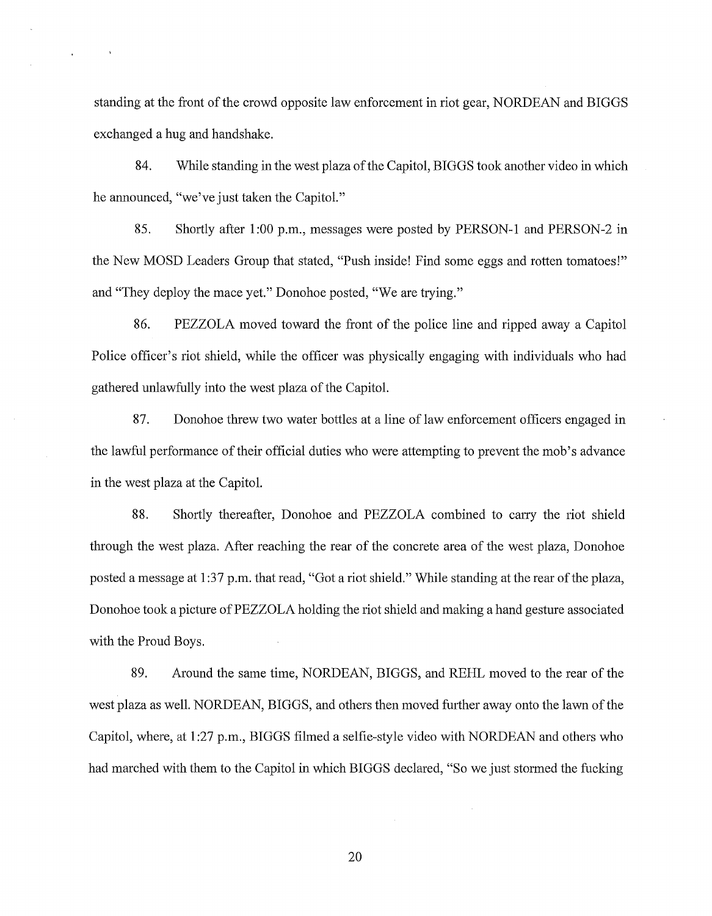standing at the front of the crowd opposite law enforcement in riot gear, NORDEAN and BIGGS exchanged a hug and handshake.

84. While standing in the west plaza of the Capitol, BIGGS took another video in which he announced, "we've just taken the Capitol."

85. Shortly after 1:00 p.m., messages were posted by PERSON-I and PERSON-2 in the New MOSD Leaders Group that stated, "Push inside! Find some eggs and rotten tomatoes!" and "They deploy the mace yet." Donohoe posted, "We are trying."

86. PEZZOLA moved toward the front of the police line and ripped away a Capitol Police officer's riot shield, while the officer was physically engaging with individuals who had gathered unlawfully into the west plaza of the Capitol.

87. Donohoe threw two water bottles at a line of law enforcement officers engaged in the lawful performance of their official duties who were attempting to prevent the mob's advance in the west plaza at the Capitol.

88. Shortly thereafter, Donohoe and PEZZOLA combined to carry the riot shield through the west plaza. After reaching the rear of the concrete area of the west plaza, Donohoe posted a message at 1 :37 p.m. that read, "Got a riot shield." While standing at the rear of the plaza, Donohoe took a picture of PEZZOLA holding the riot shield and making a hand gesture associated with the Proud Boys.

89. Around the same time, NORDEAN, BIGGS, and REHL moved to the rear of the west plaza as well. NORDEAN, BIGGS, and others then moved further away onto the lawn of the Capitol, where, at 1 :27 p.m., BIGGS filmed a selfie-style video with NORDEAN and others who had marched with them to the Capitol in which BIGGS declared, "So we just stormed the fucking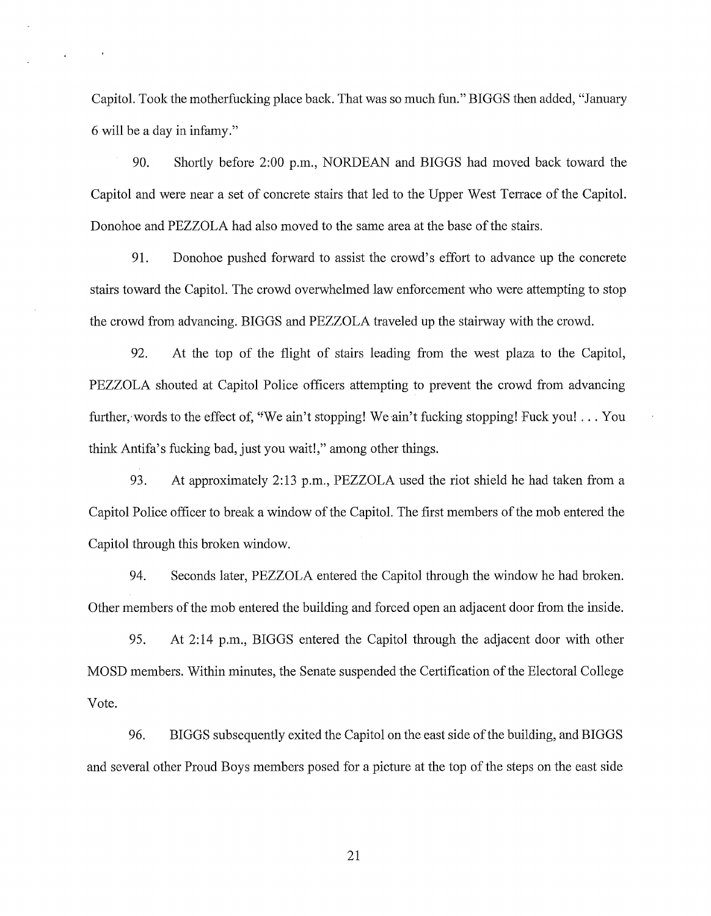Capitol. Took the motherfucking place back. That was so much fun." BIGGS then added, "January 6 will be a day in infamy."

90. Shortly before 2:00 p.m., NORDEAN and BIGGS had moved back toward the Capitol and were near a set of concrete stairs that led to the Upper West Terrace of the Capitol. Donohoe and PEZZOLA had also moved to the same area at the base of the stairs.

91. Donohoe pushed forward to assist the crowd's effort to advance up the concrete stairs toward the Capitol. The crowd overwhelmed law enforcement who were attempting to stop the crowd from advancing. BIGGS and PEZZOLA traveled up the stairway with the crowd.

92. At the top of the flight of stairs leading from the west plaza to the Capitol, PEZZOLA shouted at Capitol Police officers attempting to prevent the crowd from advancing further, words to the effect of, "We ain't stopping! We ain't fucking stopping! Fuck you! ... You think Antifa's fucking bad, just you wait!," among other things.

93. At approximately 2:13 p.m., PEZZOLA used the riot shield he had taken from a Capitol Police officer to break a window of the Capitol. The first members of the mob entered the Capitol through this broken window.

94. Seconds later, PEZZOLA entered the Capitol through the window he had broken. Other members of the mob entered the building and forced open an adjacent door from the inside.

95. At 2:14 p.m., BIGGS entered the Capitol through the adjacent door with other MOSD members. Within minutes, the Senate suspended the Certification of the Electoral College Vote.

96. BIGGS subsequently exited the Capitol on the east side of the building, and BIGGS and several other Proud Boys members posed for a picture at the top of the steps on the east side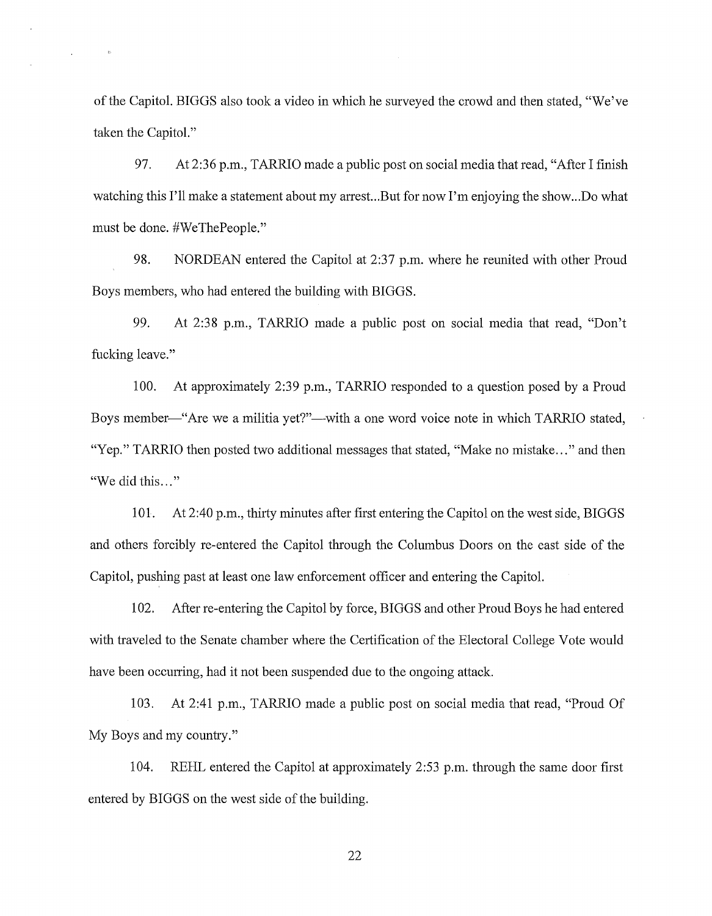of the Capitol. BIGGS also took a video in which he surveyed the crowd and then stated, "We've taken the Capitol."

 $\bar{R}$ 

 $\epsilon$ 

97. At 2:36 p.m., TARRIO made a public post on social media that read, "After I finish watching this I'll make a statement about my arrest...But for now I'm enjoying the show...Do what must be done. #WeThePeople."

98. NORDEAN entered the Capitol at 2:37 p.m. where he reunited with other Proud Boys members, who had entered the building with BIGGS.

99. At 2:38 p.m., TARRIO made a public post on social media that read, "Don't fucking leave."

100. At approximately 2:39 p.m., TARRIO responded to a question posed by a Proud Boys member—"Are we a militia yet?"—with a one word voice note in which TARRIO stated, "Yep." TARRIO then posted two additional messages that stated, "Make no mistake..." and then "We did this..."

101. At 2:40 p.m., thirty minutes after first entering the Capitol on the west side, BIGGS and others forcibly re-entered the Capitol through the Columbus Doors on the east side of the Capitol, pushing past at least one law enforcement officer and entering the Capitol.

102. After re-entering the Capitol by force, BIGGS and other Proud Boys he had entered with traveled to the Senate chamber where the Certification of the Electoral College Vote would have been occurring, had it not been suspended due to the ongoing attack.

103. At 2:41 p.m., TARRIO made a public post on social media that read, "Proud Of My Boys and my country."

104. REHL entered the Capitol at approximately 2:53 p.m. through the same door first entered by BIGGS on the west side of the building.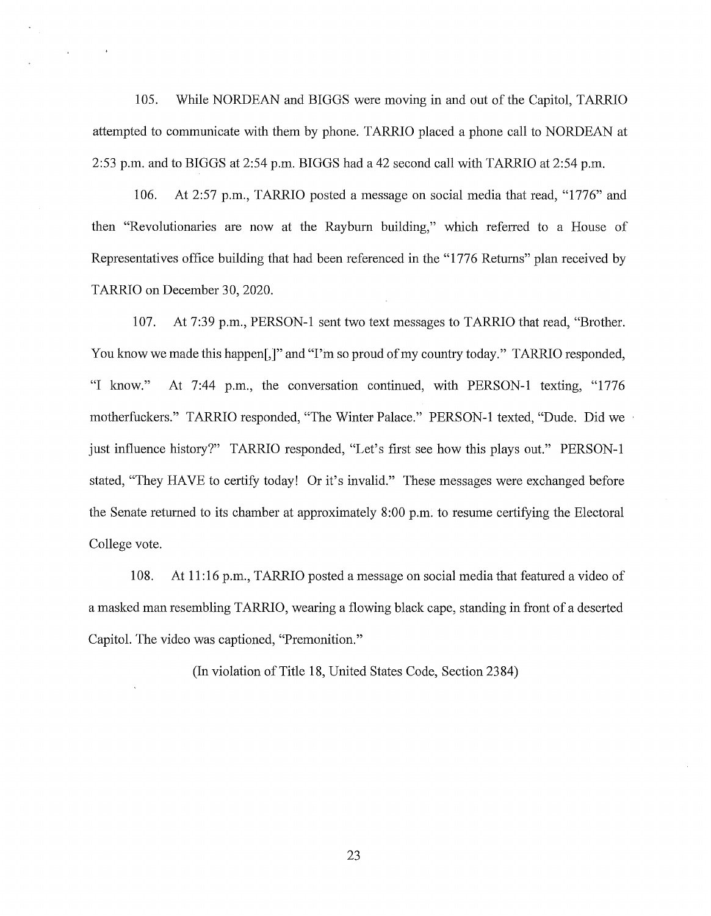105. While NORDEAN and BIGGS were moving in and out of the Capitol, TARRIO attempted to communicate with them by phone. TARRIO placed a phone call to NORDEAN at 2:53 p.m. and to BIGGS at 2:54 p.m. BIGGS had a 42 second call with TARRIO at 2:54 p.m.

106. At 2:57 p.m., TARRIO posted a message on social media that read, "1776" and then "Revolutionaries are now at the Rayburn building," which referred to a House of Representatives office building that had been referenced in the "1776 Returns" plan received by TARRIO on December 30, 2020.

107. At 7:39 p.m., PERSON-1 sent two text messages to TARRIO that read, "Brother. You know we made this happen[,]" and "I'm so proud of my country today." TARRIO responded, "I know." At 7:44 p.m., the conversation continued, with PERSON-1 texting, "1776 motherfuckers." TARRIO responded, "The Winter Palace." PERSON-1 texted, "Dude. Did we just influence history?" TARRIO responded, "Let's first see how this plays out." PERSON-1 stated, "They HAVE to certify today! Or it's invalid." These messages were exchanged before the Senate returned to its chamber at approximately 8:00 p.m. to resume certifying the Electoral College vote.

108. At 11 :16 p.m., TARRIO posted a message on social media that featured a video of a masked man resembling TARRIO, wearing a flowing black cape, standing in front of a deserted Capitol. The video was captioned, "Premonition."

(In violation of Title 18, United States Code, Section 2384)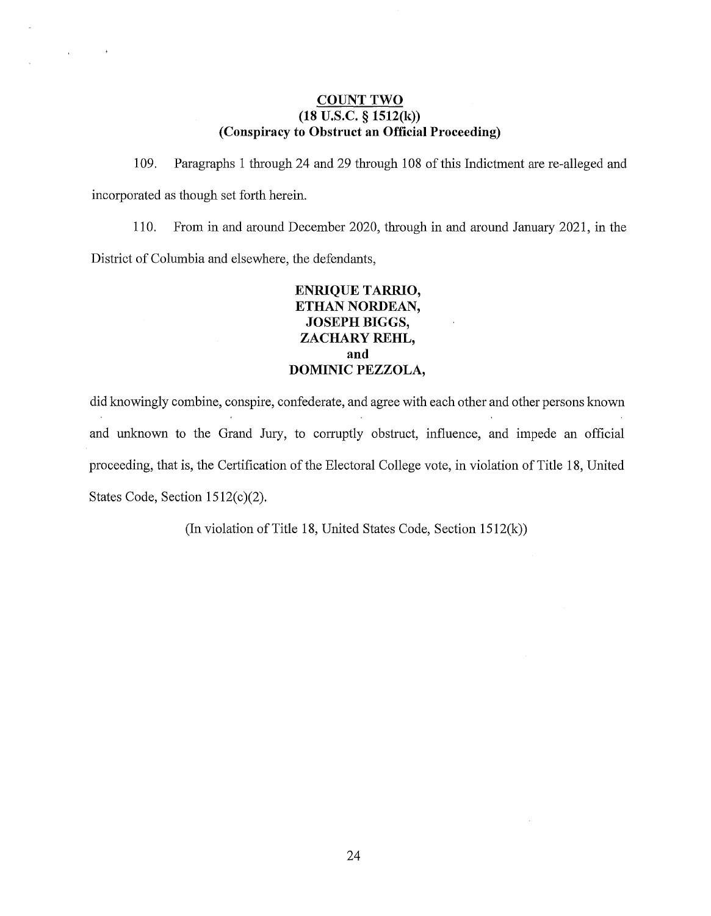#### **COUNT TWO (18 U.S.C. § 1512(k)) (Conspiracy to Obstruct an Official Proceeding)**

 $\sim 10^{11}$ 

 $\sim$  10  $\pm$ 

109. Paragraphs 1 through 24 and 29 through 108 of this Indictment are re-alleged and incorporated as though set forth herein.

llO. From in and around December 2020, through in and around January 2021, in the District of Columbia and elsewhere, the defendants,

# **ENRIQUE TARRIO, ETHAN NORDEAN, JOSEPH BIGGS, ZACHARY REHL, and DOMINIC PEZZOLA,**

did knowingly combine, conspire, confederate, and agree with each other and other persons known and unknown to the Grand Jury, to corruptly obstruct, influence, and impede an official proceeding, that is, the Certification of the Electoral College vote, in violation of Title 18, United States Code, Section  $1512(c)(2)$ .

(In violation of Title 18, United States Code, Section 1512(k))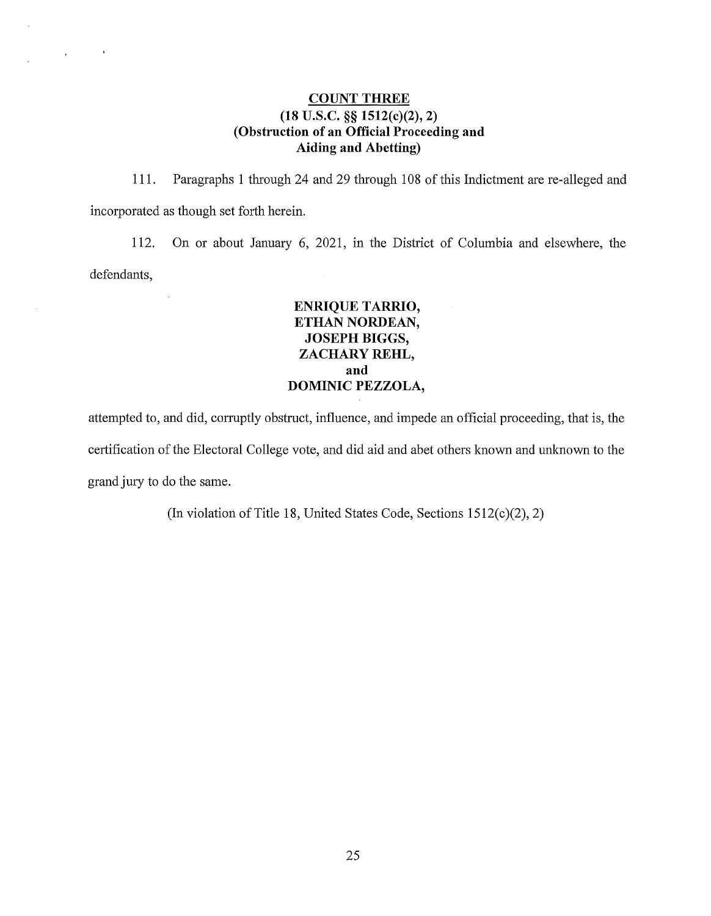# **COUNT THREE (18 U.S.C.** §§ **1512(c)(2), 2) (Obstruction of an Official Proceeding and Aiding and Abetting)**

 $\sim$   $\lambda$ 

 $\mathcal{L}^{\text{max}}_{\text{max}}$ 

111. Paragraphs 1 through 24 and 29 through 108 of this Indictment are re-alleged and incorporated as though set forth herein.

112. On or about January 6, 2021, in the District of Columbia and elsewhere, the defendants,

# **ENRIQUE TARRIO, ETHAN NORDEAN, JOSEPH BIGGS, ZACHARY REHL, and DOMINIC PEZZOLA,**

attempted to, and did, corruptly obstruct, influence, and impede an official proceeding, that is, the certification of the Electoral College vote, and did aid and abet others known and unknown to the grand jury to do the same.

(In violation of Title 18, United States Code, Sections 1512(c)(2), 2)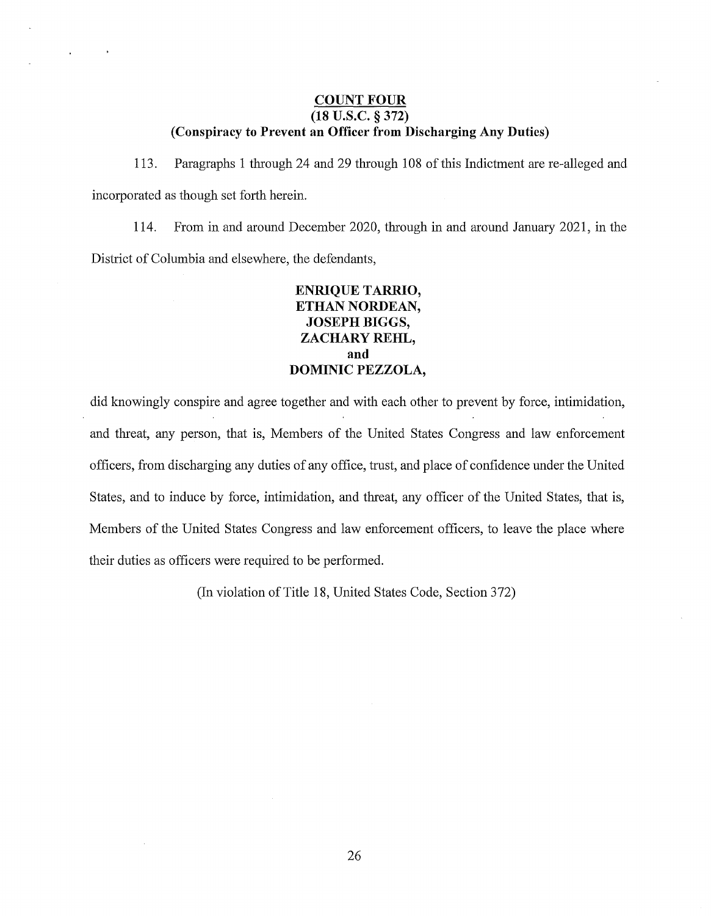## **COUNT FOUR (18 u.s.c. § 372) (Conspiracy to Prevent an Officer from Discharging Any Duties)**

 $\bar{z}$ 

 $\mathcal{L}$ 

113. Paragraphs 1 through 24 and 29 through 108 of this Indictment are re-alleged and incorporated as though set forth herein.

114. From in and around December 2020, through in and around January 2021, in the District of Columbia and elsewhere, the defendants,

# **ENRIQUE TARRIO, ETHAN NORDEAN, JOSEPH BIGGS, ZACHARY REHL, and DOMINIC PEZZOLA,**

did knowingly conspire and agree together and with each other to prevent by force, intimidation, and threat, any person, that is, Members of the United States Congress and law enforcement officers, from discharging any duties of any office, trust, and place of confidence under the United States, and to induce by force, intimidation, and threat, any officer of the United States, that is, Members of the United States Congress and law enforcement officers, to leave the place where their duties as officers were required to be performed.

(In violation of Title 18, United States Code, Section 372)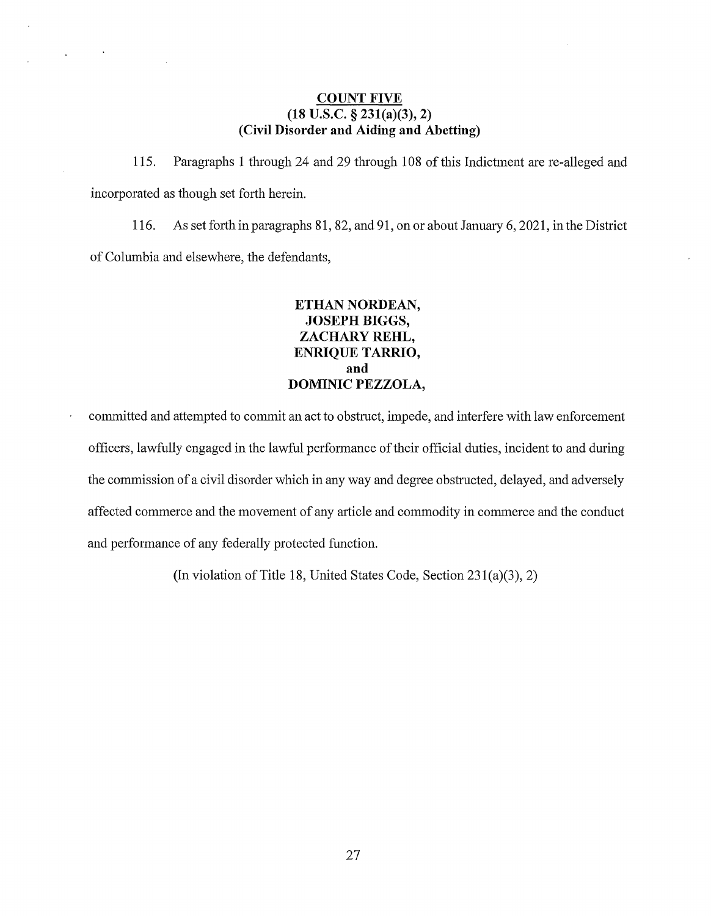## **COUNT FIVE (18 U.S.C. § 231(a)(3), 2) (Civil Disorder and Aiding and Abetting)**

 $\ddot{\phantom{1}}$ 

115. Paragraphs 1 through 24 and 29 through 108 of this Indictment are re-alleged and incorporated as though set forth herein.

116. As set forth in paragraphs 81, 82, and 91, on or about January 6, 2021, in the District of Columbia and elsewhere, the defendants,

# **ETHAN NORDEAN, JOSEPH BIGGS, ZACHARY REHL, ENRIQUE TARRIO, and DOMINIC PEZZOLA,**

committed and attempted to commit an act to obstruct, impede, and interfere with law enforcement officers, lawfully engaged in the lawful performance of their official duties, incident to and during the commission of a civil disorder which in any way and degree obstructed, delayed, and adversely affected commerce and the movement of any article and commodity in commerce and the conduct and performance of any federally protected function.

(In violation of Title 18, United States Code, Section 23l(a)(3), 2)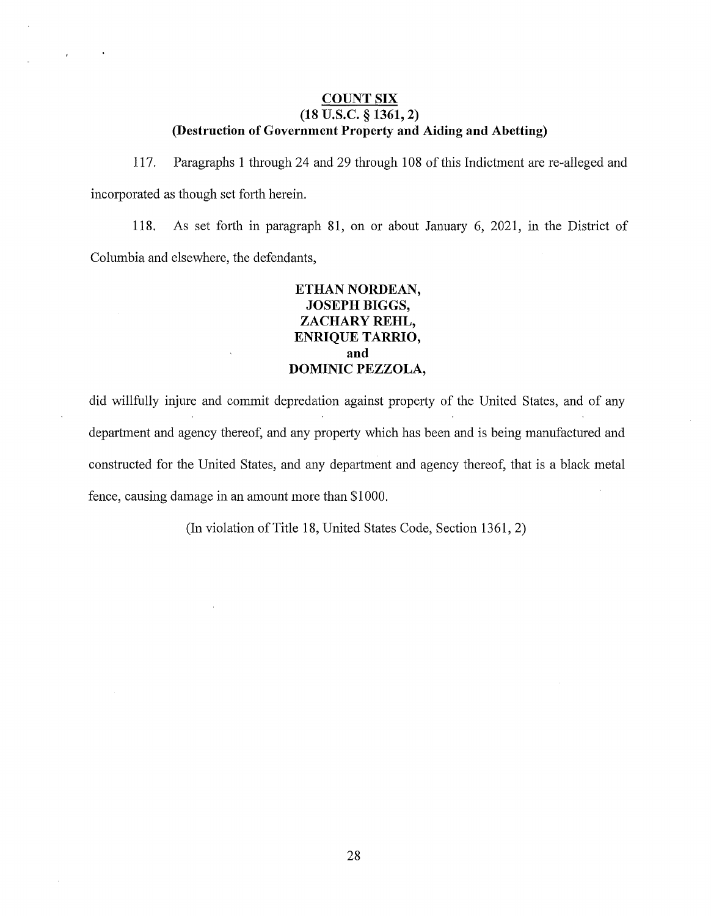#### **COUNT SIX (18 u.s.c. § 1361, 2) (Destruction of Government Property and Aiding and Abetting)**

117. Paragraphs 1 through 24 and 29 through 108 of this Indictment are re-alleged and incorporated as though set forth herein.

118. As set forth in paragraph 81, on or about January 6, 2021, in the District of Columbia and elsewhere, the defendants,

# **ETHAN NORDEAN, JOSEPH BIGGS, ZACHARY REHL, ENRIQUE TARRIO, and DOMINIC PEZZOLA,**

did willfully injure and commit depredation against property of the United States, and of any department and agency thereof, and any property which has been and is being manufactured and constructed for the United States, and any department and agency thereof, that is a black metal fence, causing damage in an amount more than \$1000.

(In violation of Title 18, United States Code, Section 1361, 2)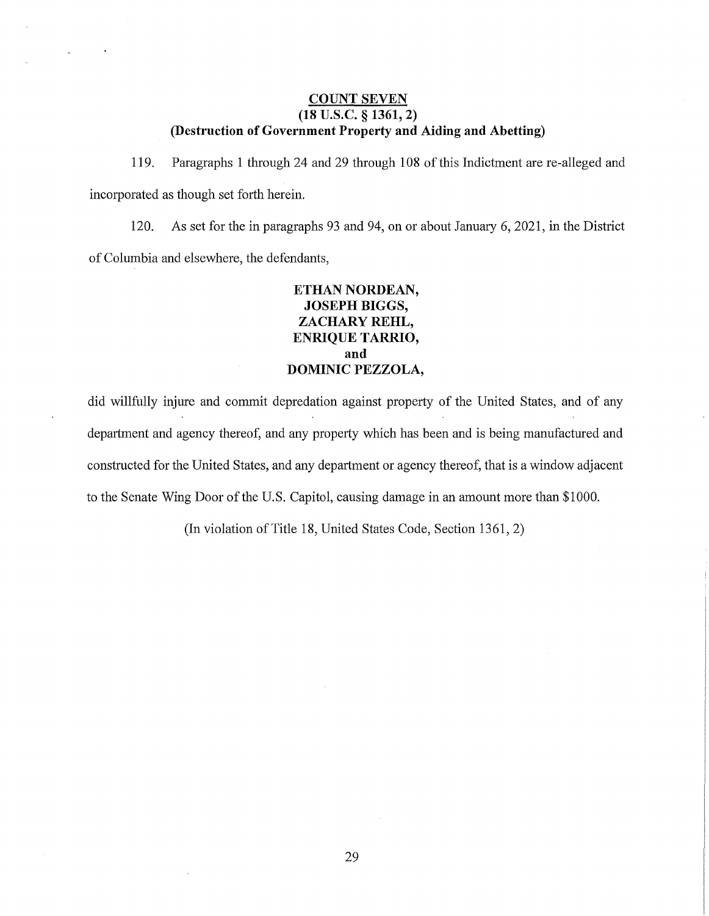#### **COUNT SEVEN (18 u.s.c. § 1361, 2) (Destruction of Government Property and Aiding and Abetting)**

119. Paragraphs 1 through 24 and 29 through 108 of this Indictment are re-alleged and incorporated as though set forth herein.

120. As set for the in paragraphs 93 and 94, on or about January 6, 2021, in the District of Columbia and elsewhere, the defendants,

## **ETHAN NORDEAN, JOSEPH BIGGS, ZACHARY REHL, ENRIQUE TARRIO, and DOMINIC PEZZOLA,**

did willfully injure and commit depredation against property of the United States, and of any department and agency thereof, and any property which has been and is being manufactured and constructed for the United States, and any department or agency thereof, that is a window adjacent to the Senate Wing Door of the U.S. Capitol, causing damage in an amount more than \$1000.

(In violation of Title 18, United States Code, Section 1361, 2)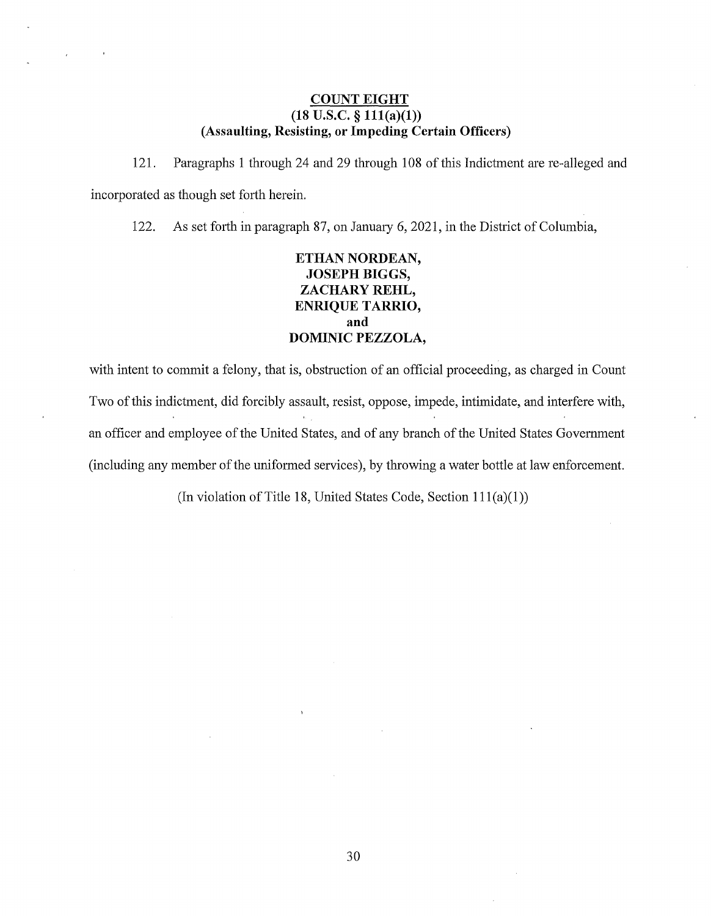#### **COUNT EIGHT**   $(18 \text{ U.S.C.} \S 111(a)(1))$ **(Assaulting, Resisting, or Impeding Certain Officers)**

121. Paragraphs 1 through 24 and 29 through 108 of this Indictment are re-alleged and incorporated as though set forth herein.

122. As set forth in paragraph 87, on January 6, 2021, in the District of Columbia,

# **ETHAN NORDEAN, JOSEPH BIGGS, ZACHARY REHL, ENRIQUE TARRIO, and DOMINIC PEZZOLA,**

with intent to commit a felony, that is, obstruction of an official proceeding, as charged in Count Two of this indictment, did forcibly assault, resist, oppose, impede, intimidate, and interfere with, an officer and employee of the United States, and of any branch of the United States Government (including any member of the uniformed services), by throwing a water bottle at law enforcement.

(In violation of Title 18, United States Code, Section  $111(a)(1)$ )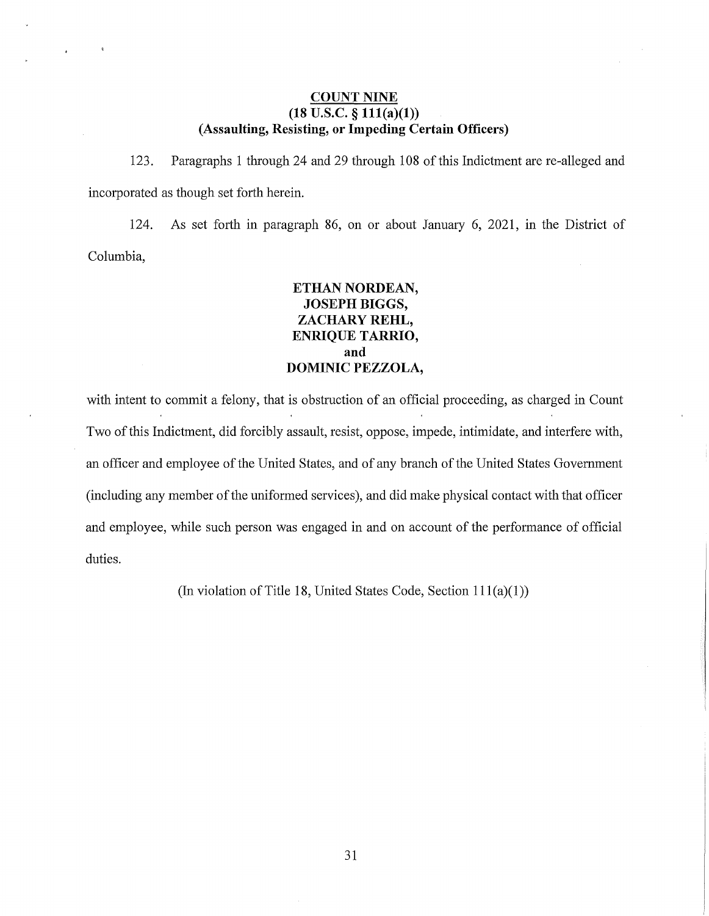#### **COUNT NINE**   $(18 \text{ U.S.C. } § 111(a)(1))$ **(Assaulting, Resisting, or Impeding Certain Officers)**

123. Paragraphs 1 through 24 and 29 through 108 of this Indictment are re-alleged and incorporated as though set forth herein.

124. As set forth in paragraph 86, on or about January 6, 2021, in the District of Columbia,

## **ETHAN NORDEAN, JOSEPH BIGGS, ZACHARY REHL, ENRIQUE TARRIO, and DOMINIC PEZZOLA,**

with intent to commit a felony, that is obstruction of an official proceeding, as charged in Count Two of this Indictment, did forcibly assault, resist, oppose, impede, intimidate, and interfere with, an officer and employee of the United States, and of any branch of the United States Government (including any member of the uniformed services), and did make physical contact with that officer and employee, while such person was engaged in and on account of the performance of official duties.

(In violation of Title 18, United States Code, Section  $111(a)(1)$ )